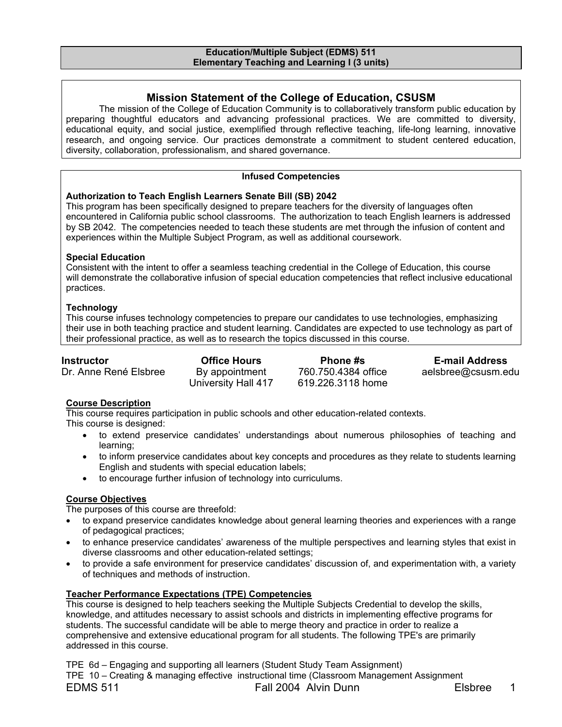#### **Education/Multiple Subject (EDMS) 511 Elementary Teaching and Learning I (3 units)**

## **Mission Statement of the College of Education, CSUSM**

The mission of the College of Education Community is to collaboratively transform public education by preparing thoughtful educators and advancing professional practices. We are committed to diversity, educational equity, and social justice, exemplified through reflective teaching, life-long learning, innovative research, and ongoing service. Our practices demonstrate a commitment to student centered education, diversity, collaboration, professionalism, and shared governance.

#### **Infused Competencies**

#### **Authorization to Teach English Learners Senate Bill (SB) 2042**

This program has been specifically designed to prepare teachers for the diversity of languages often encountered in California public school classrooms. The authorization to teach English learners is addressed by SB 2042. The competencies needed to teach these students are met through the infusion of content and experiences within the Multiple Subject Program, as well as additional coursework.

#### **Special Education**

Consistent with the intent to offer a seamless teaching credential in the College of Education, this course will demonstrate the collaborative infusion of special education competencies that reflect inclusive educational practices.

#### **Technology**

This course infuses technology competencies to prepare our candidates to use technologies, emphasizing their use in both teaching practice and student learning. Candidates are expected to use technology as part of their professional practice, as well as to research the topics discussed in this course.

| Instructor            | <b>Office Hours</b> | <b>Phone #s</b>     | <b>E-mail Address</b> |
|-----------------------|---------------------|---------------------|-----------------------|
| Dr. Anne René Elsbree | By appointment      | 760.750.4384 office | aelsbree@csusm.edu    |
|                       | University Hall 417 | 619.226.3118 home   |                       |

### **Course Description**

This course requires participation in public schools and other education-related contexts. This course is designed:

- to extend preservice candidates' understandings about numerous philosophies of teaching and learning;
- to inform preservice candidates about key concepts and procedures as they relate to students learning English and students with special education labels;
- to encourage further infusion of technology into curriculums.

## **Course Objectives**

The purposes of this course are threefold:

- to expand preservice candidates knowledge about general learning theories and experiences with a range of pedagogical practices;
- to enhance preservice candidates' awareness of the multiple perspectives and learning styles that exist in diverse classrooms and other education-related settings;
- to provide a safe environment for preservice candidates' discussion of, and experimentation with, a variety of techniques and methods of instruction.

### **Teacher Performance Expectations (TPE) Competencies**

This course is designed to help teachers seeking the Multiple Subjects Credential to develop the skills, knowledge, and attitudes necessary to assist schools and districts in implementing effective programs for students. The successful candidate will be able to merge theory and practice in order to realize a comprehensive and extensive educational program for all students. The following TPE's are primarily addressed in this course.

TPE 6d – Engaging and supporting all learners (Student Study Team Assignment) TPE 10 – Creating & managing effective instructional time (Classroom Management Assignment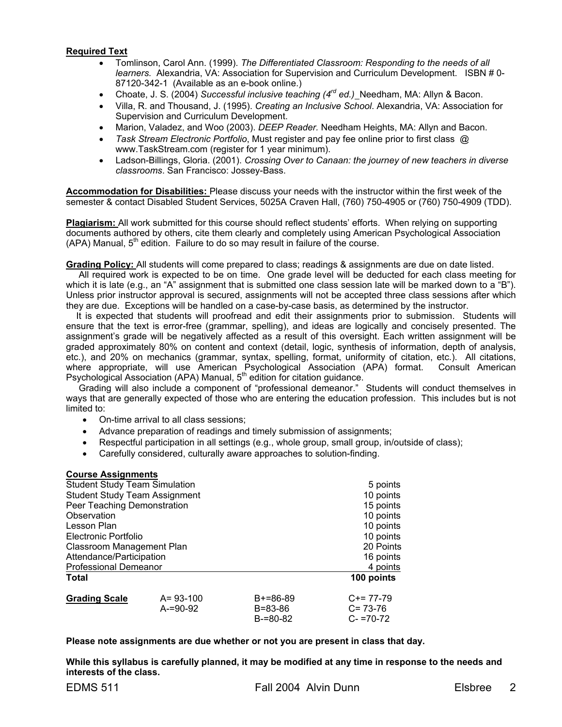#### **Required Text**

- Tomlinson, Carol Ann. (1999). *The Differentiated Classroom: Responding to the needs of all learners.* Alexandria, VA: Association for Supervision and Curriculum Development. ISBN # 0- 87120-342-1 (Available as an e-book online.)
- Choate, J. S. (2004) *Successful inclusive teaching (4rd ed.)* Needham, MA: Allyn & Bacon.
- Villa, R. and Thousand, J. (1995). *Creating an Inclusive School*. Alexandria, VA: Association for Supervision and Curriculum Development.
- Marion, Valadez, and Woo (2003). *DEEP Reader.* Needham Heights, MA: Allyn and Bacon.
- *Task Stream Electronic Portfolio*, Must register and pay fee online prior to first class @ www.TaskStream.com (register for 1 year minimum).
- Ladson-Billings, Gloria. (2001). *Crossing Over to Canaan: the journey of new teachers in diverse classrooms*. San Francisco: Jossey-Bass.

**Accommodation for Disabilities:** Please discuss your needs with the instructor within the first week of the semester & contact Disabled Student Services, 5025A Craven Hall, (760) 750-4905 or (760) 750-4909 (TDD).

**Plagiarism:** All work submitted for this course should reflect students' efforts. When relying on supporting documents authored by others, cite them clearly and completely using American Psychological Association (APA) Manual, 5<sup>th</sup> edition. Failure to do so may result in failure of the course.

**Grading Policy:** All students will come prepared to class; readings & assignments are due on date listed.

 All required work is expected to be on time. One grade level will be deducted for each class meeting for which it is late (e.g., an "A" assignment that is submitted one class session late will be marked down to a  $E$ "B"). Unless prior instructor approval is secured, assignments will not be accepted three class sessions after which they are due. Exceptions will be handled on a case-by-case basis, as determined by the instructor.

It is expected that students will proofread and edit their assignments prior to submission. Students will ensure that the text is error-free (grammar, spelling), and ideas are logically and concisely presented. The assignment's grade will be negatively affected as a result of this oversight. Each written assignment will be graded approximately 80% on content and context (detail, logic, synthesis of information, depth of analysis, etc.), and 20% on mechanics (grammar, syntax, spelling, format, uniformity of citation, etc.). All citations, where appropriate, will use American Psychological Association (APA) format. Consult American Psychological Association (APA) Manual,  $5<sup>th</sup>$  edition for citation guidance.

 Grading will also include a component of "professional demeanor." Students will conduct themselves in ways that are generally expected of those who are entering the education profession. This includes but is not limited to:

- On-time arrival to all class sessions;
- Advance preparation of readings and timely submission of assignments;
- Respectful participation in all settings (e.g., whole group, small group, in/outside of class);
- Carefully considered, culturally aware approaches to solution-finding.

#### **Course Assignments**

| <b>Student Study Team Simulation</b> | 5 points       |               |               |
|--------------------------------------|----------------|---------------|---------------|
| <b>Student Study Team Assignment</b> | 10 points      |               |               |
| Peer Teaching Demonstration          | 15 points      |               |               |
| Observation                          |                |               | 10 points     |
| Lesson Plan                          |                |               | 10 points     |
| Electronic Portfolio                 |                |               | 10 points     |
| Classroom Management Plan            | 20 Points      |               |               |
| Attendance/Participation             | 16 points      |               |               |
| <b>Professional Demeanor</b>         |                |               | 4 points      |
| <b>Total</b>                         |                |               | 100 points    |
| <b>Grading Scale</b>                 | $A = 93 - 100$ | $B+=86-89$    | $C+= 77-79$   |
|                                      | $A = 90 - 92$  | B=83-86       | $C = 73-76$   |
|                                      |                | $B = 80 - 82$ | $C - 70 - 72$ |

**Please note assignments are due whether or not you are present in class that day.** 

**While this syllabus is carefully planned, it may be modified at any time in response to the needs and interests of the class.**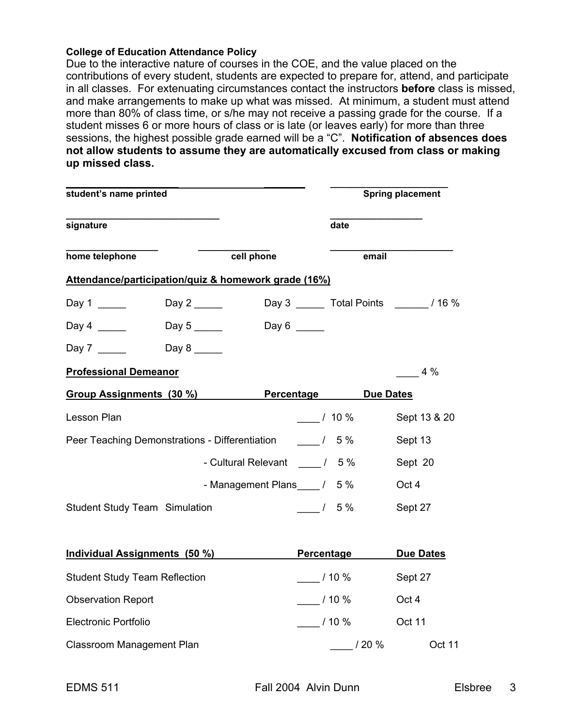## **College of Education Attendance Policy**

Due to the interactive nature of courses in the COE, and the value placed on the contributions of every student, students are expected to prepare for, attend, and participate in all classes. For extenuating circumstances contact the instructors **before** class is missed, and make arrangements to make up what was missed. At minimum, a student must attend more than 80% of class time, or s/he may not receive a passing grade for the course. If a student misses 6 or more hours of class or is late (or leaves early) for more than three sessions, the highest possible grade earned will be a "C". **Notification of absences does not allow students to assume they are automatically excused from class or making up missed class.** 

| student's name printed                               |                                     |                                   |                   | <b>Spring placement</b> |                                             |
|------------------------------------------------------|-------------------------------------|-----------------------------------|-------------------|-------------------------|---------------------------------------------|
| signature                                            |                                     |                                   |                   | date                    |                                             |
| home telephone                                       |                                     | cell phone                        |                   | email                   |                                             |
| Attendance/participation/quiz & homework grade (16%) |                                     |                                   |                   |                         |                                             |
| Day 1 _______                                        | Day 2 _______                       |                                   |                   |                         | Day 3 _______ Total Points _________ / 16 % |
| Day 4                                                | Day 5 $\_\_\_\_\_\_\_\_\_\_\_\_\_\$ | Day $6 \quad \qquad$              |                   |                         |                                             |
| Day 7 $\frac{1}{2}$                                  |                                     |                                   |                   |                         |                                             |
| <b>Professional Demeanor</b>                         |                                     |                                   |                   |                         | $4\%$                                       |
| Group Assignments (30 %)                             |                                     | <b>Percentage</b>                 |                   | <b>Due Dates</b>        |                                             |
| Lesson Plan                                          |                                     |                                   | $/10\%$           |                         | Sept 13 & 20                                |
| Peer Teaching Demonstrations - Differentiation       |                                     |                                   | $\frac{1}{5\%}$   |                         | Sept 13                                     |
|                                                      |                                     | - Cultural Relevant _______ / 5 % |                   |                         | Sept 20                                     |
|                                                      |                                     | - Management Plans / 5 %          |                   |                         | Oct 4                                       |
| <b>Student Study Team Simulation</b>                 |                                     |                                   | $15\%$            |                         | Sept 27                                     |
|                                                      |                                     |                                   |                   |                         |                                             |
| Individual Assignments (50 %)                        |                                     |                                   | <b>Percentage</b> |                         | <b>Due Dates</b>                            |
| <b>Student Study Team Reflection</b>                 |                                     |                                   | $-110\%$          |                         | Sept 27                                     |
| <b>Observation Report</b>                            |                                     |                                   | $\frac{1}{10\%}$  |                         | Oct 4                                       |
| <b>Electronic Portfolio</b>                          |                                     |                                   |                   | $\frac{1}{2}$ / 10 %    | Oct 11                                      |
| Classroom Management Plan                            |                                     |                                   |                   | $\frac{1}{20\%}$        | <b>Oct 11</b>                               |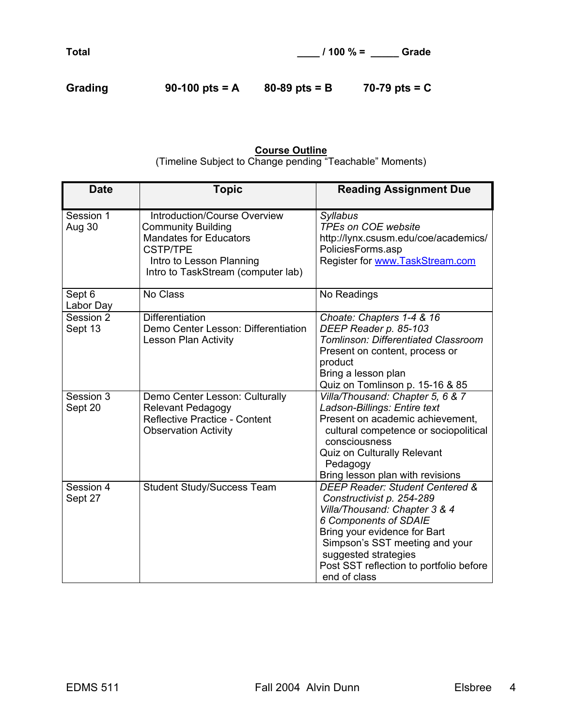Grading 90-100 pts = A 80-89 pts = B 70-79 pts = C

## **Course Outline**

(Timeline Subject to Change pending "Teachable" Moments)

| <b>Date</b>          | <b>Topic</b>                                                                                                                                                                           | <b>Reading Assignment Due</b>                                                                                                                                                                                                                                               |
|----------------------|----------------------------------------------------------------------------------------------------------------------------------------------------------------------------------------|-----------------------------------------------------------------------------------------------------------------------------------------------------------------------------------------------------------------------------------------------------------------------------|
| Session 1<br>Aug 30  | <b>Introduction/Course Overview</b><br><b>Community Building</b><br><b>Mandates for Educators</b><br><b>CSTP/TPE</b><br>Intro to Lesson Planning<br>Intro to TaskStream (computer lab) | <b>Syllabus</b><br><b>TPEs on COE website</b><br>http://lynx.csusm.edu/coe/academics/<br>PoliciesForms.asp<br>Register for www.TaskStream.com                                                                                                                               |
| Sept 6<br>Labor Day  | No Class                                                                                                                                                                               | No Readings                                                                                                                                                                                                                                                                 |
| Session 2<br>Sept 13 | <b>Differentiation</b><br>Demo Center Lesson: Differentiation<br><b>Lesson Plan Activity</b>                                                                                           | Choate: Chapters 1-4 & 16<br>DEEP Reader p. 85-103<br><b>Tomlinson: Differentiated Classroom</b><br>Present on content, process or<br>product<br>Bring a lesson plan<br>Quiz on Tomlinson p. 15-16 & 85                                                                     |
| Session 3<br>Sept 20 | Demo Center Lesson: Culturally<br><b>Relevant Pedagogy</b><br>Reflective Practice - Content<br><b>Observation Activity</b>                                                             | Villa/Thousand: Chapter 5, 6 & 7<br>Ladson-Billings: Entire text<br>Present on academic achievement,<br>cultural competence or sociopolitical<br>consciousness<br>Quiz on Culturally Relevant<br>Pedagogy<br>Bring lesson plan with revisions                               |
| Session 4<br>Sept 27 | <b>Student Study/Success Team</b>                                                                                                                                                      | DEEP Reader: Student Centered &<br>Constructivist p. 254-289<br>Villa/Thousand: Chapter 3 & 4<br>6 Components of SDAIE<br>Bring your evidence for Bart<br>Simpson's SST meeting and your<br>suggested strategies<br>Post SST reflection to portfolio before<br>end of class |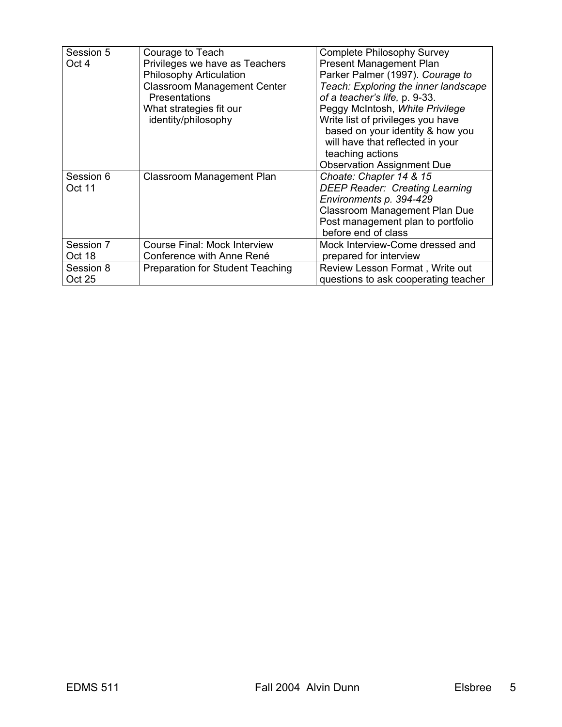| Session 5<br>Oct 4         | Courage to Teach<br>Privileges we have as Teachers<br><b>Philosophy Articulation</b><br><b>Classroom Management Center</b><br><b>Presentations</b><br>What strategies fit our<br>identity/philosophy | <b>Complete Philosophy Survey</b><br><b>Present Management Plan</b><br>Parker Palmer (1997). Courage to<br>Teach: Exploring the inner landscape<br>of a teacher's life, p. 9-33.<br>Peggy McIntosh, White Privilege<br>Write list of privileges you have<br>based on your identity & how you<br>will have that reflected in your<br>teaching actions<br><b>Observation Assignment Due</b> |
|----------------------------|------------------------------------------------------------------------------------------------------------------------------------------------------------------------------------------------------|-------------------------------------------------------------------------------------------------------------------------------------------------------------------------------------------------------------------------------------------------------------------------------------------------------------------------------------------------------------------------------------------|
| Session 6<br>Oct 11        | Classroom Management Plan                                                                                                                                                                            | Choate: Chapter 14 & 15<br><b>DEEP Reader: Creating Learning</b><br>Environments p. 394-429<br><b>Classroom Management Plan Due</b><br>Post management plan to portfolio<br>before end of class                                                                                                                                                                                           |
| Session 7<br>Oct 18        | <b>Course Final: Mock Interview</b><br>Conference with Anne René                                                                                                                                     | Mock Interview-Come dressed and<br>prepared for interview                                                                                                                                                                                                                                                                                                                                 |
| Session 8<br><b>Oct 25</b> | <b>Preparation for Student Teaching</b>                                                                                                                                                              | Review Lesson Format, Write out<br>questions to ask cooperating teacher                                                                                                                                                                                                                                                                                                                   |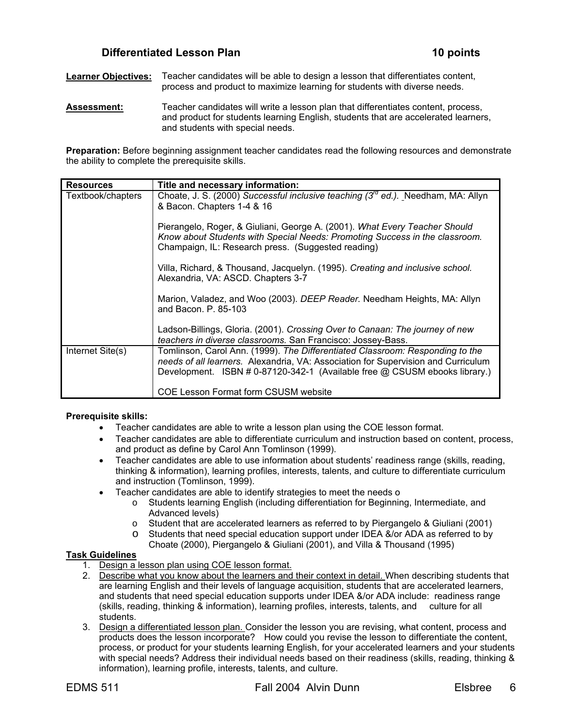## **Differentiated Lesson Plan 10 points**

**Learner Objectives:** Teacher candidates will be able to design a lesson that differentiates content, process and product to maximize learning for students with diverse needs.

**Assessment:** Teacher candidates will write a lesson plan that differentiates content, process, and product for students learning English, students that are accelerated learners, and students with special needs.

**Preparation:** Before beginning assignment teacher candidates read the following resources and demonstrate the ability to complete the prerequisite skills.

| <b>Resources</b>  | Title and necessary information:                                                                                                                                                                                                                 |
|-------------------|--------------------------------------------------------------------------------------------------------------------------------------------------------------------------------------------------------------------------------------------------|
| Textbook/chapters | Choate, J. S. (2000) Successful inclusive teaching $(3^{rd}$ ed.). Needham, MA: Allyn<br>& Bacon. Chapters 1-4 & 16                                                                                                                              |
|                   | Pierangelo, Roger, & Giuliani, George A. (2001). What Every Teacher Should<br>Know about Students with Special Needs: Promoting Success in the classroom.<br>Champaign, IL: Research press. (Suggested reading)                                  |
|                   | Villa, Richard, & Thousand, Jacquelyn. (1995). Creating and inclusive school.<br>Alexandria, VA: ASCD. Chapters 3-7                                                                                                                              |
|                   | Marion, Valadez, and Woo (2003). DEEP Reader. Needham Heights, MA: Allyn<br>and Bacon, P. 85-103                                                                                                                                                 |
|                   | Ladson-Billings, Gloria. (2001). Crossing Over to Canaan: The journey of new<br>teachers in diverse classrooms. San Francisco: Jossey-Bass.                                                                                                      |
| Internet Site(s)  | Tomlinson, Carol Ann. (1999). The Differentiated Classroom: Responding to the<br>needs of all learners. Alexandria, VA: Association for Supervision and Curriculum<br>Development. ISBN # 0-87120-342-1 (Available free @ CSUSM ebooks library.) |
|                   | COE Lesson Format form CSUSM website                                                                                                                                                                                                             |

#### **Prerequisite skills:**

- Teacher candidates are able to write a lesson plan using the COE lesson format.
- Teacher candidates are able to differentiate curriculum and instruction based on content, process, and product as define by Carol Ann Tomlinson (1999).
- Teacher candidates are able to use information about students' readiness range (skills, reading, thinking & information), learning profiles, interests, talents, and culture to differentiate curriculum and instruction (Tomlinson, 1999).
- Teacher candidates are able to identify strategies to meet the needs o
	- o Students learning English (including differentiation for Beginning, Intermediate, and Advanced levels)
	- o Student that are accelerated learners as referred to by Piergangelo & Giuliani (2001)
	- o Students that need special education support under IDEA &/or ADA as referred to by Choate (2000), Piergangelo & Giuliani (2001), and Villa & Thousand (1995)

### **Task Guidelines**

- 1. Design a lesson plan using COE lesson format.
- 2. Describe what you know about the learners and their context in detail. When describing students that are learning English and their levels of language acquisition, students that are accelerated learners, and students that need special education supports under IDEA &/or ADA include: readiness range (skills, reading, thinking & information), learning profiles, interests, talents, and culture for all students.
- 3. Design a differentiated lesson plan. Consider the lesson you are revising, what content, process and products does the lesson incorporate? How could you revise the lesson to differentiate the content, process, or product for your students learning English, for your accelerated learners and your students with special needs? Address their individual needs based on their readiness (skills, reading, thinking & information), learning profile, interests, talents, and culture.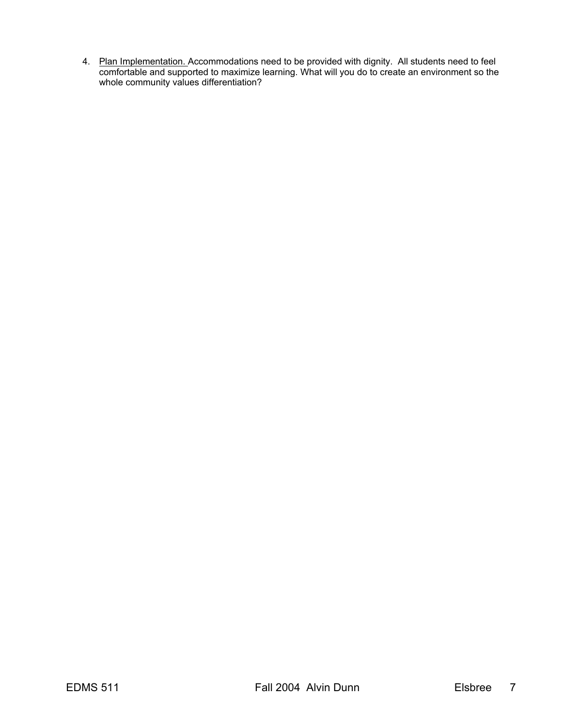4. Plan Implementation. Accommodations need to be provided with dignity. All students need to feel comfortable and supported to maximize learning. What will you do to create an environment so the whole community values differentiation?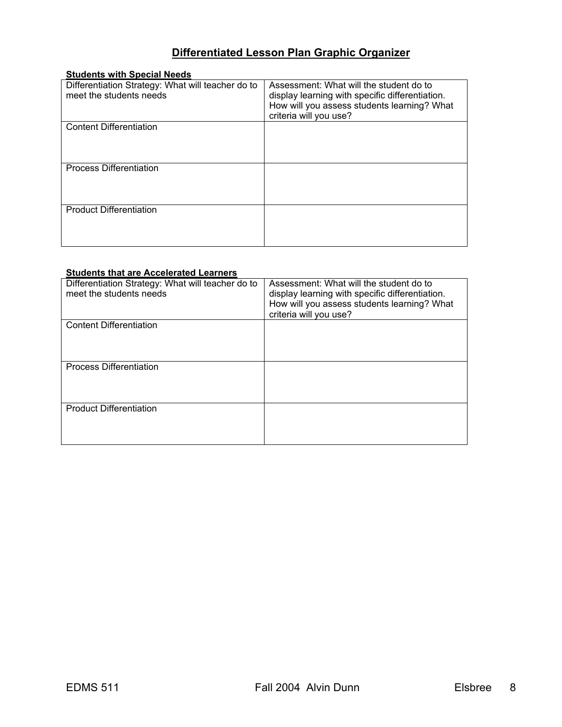## **Differentiated Lesson Plan Graphic Organizer**

| <b>Students with Special Needs</b>                |                                                 |
|---------------------------------------------------|-------------------------------------------------|
| Differentiation Strategy: What will teacher do to | Assessment: What will the student do to         |
| meet the students needs                           | display learning with specific differentiation. |
|                                                   | How will you assess students learning? What     |
|                                                   | criteria will you use?                          |
| <b>Content Differentiation</b>                    |                                                 |
|                                                   |                                                 |
|                                                   |                                                 |
|                                                   |                                                 |
| <b>Process Differentiation</b>                    |                                                 |
|                                                   |                                                 |
|                                                   |                                                 |
|                                                   |                                                 |
| <b>Product Differentiation</b>                    |                                                 |
|                                                   |                                                 |
|                                                   |                                                 |
|                                                   |                                                 |

## **Students that are Accelerated Learners**

| Differentiation Strategy: What will teacher do to<br>meet the students needs | Assessment: What will the student do to<br>display learning with specific differentiation.<br>How will you assess students learning? What<br>criteria will you use? |
|------------------------------------------------------------------------------|---------------------------------------------------------------------------------------------------------------------------------------------------------------------|
| <b>Content Differentiation</b>                                               |                                                                                                                                                                     |
| <b>Process Differentiation</b>                                               |                                                                                                                                                                     |
| <b>Product Differentiation</b>                                               |                                                                                                                                                                     |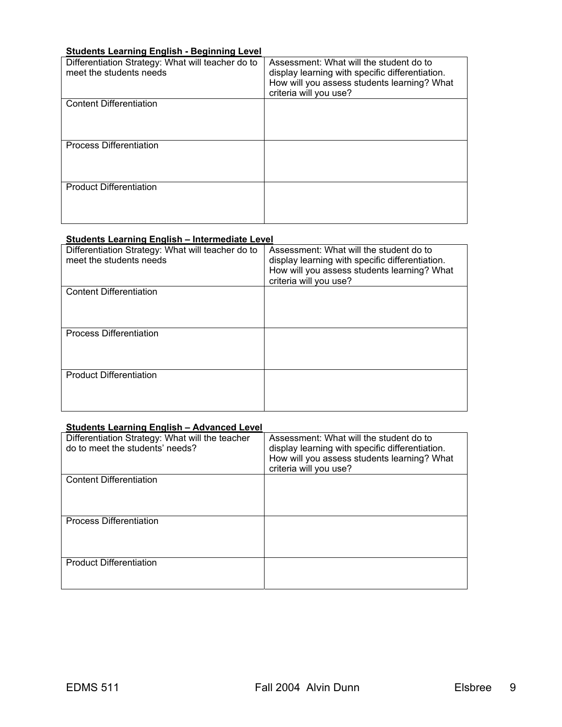## **Students Learning English - Beginning Level**

| Differentiation Strategy: What will teacher do to<br>meet the students needs | Assessment: What will the student do to<br>display learning with specific differentiation.<br>How will you assess students learning? What<br>criteria will you use? |
|------------------------------------------------------------------------------|---------------------------------------------------------------------------------------------------------------------------------------------------------------------|
| <b>Content Differentiation</b>                                               |                                                                                                                                                                     |
| <b>Process Differentiation</b>                                               |                                                                                                                                                                     |
| <b>Product Differentiation</b>                                               |                                                                                                                                                                     |

### **Students Learning English – Intermediate Level**

| Differentiation Strategy: What will teacher do to<br>meet the students needs | Assessment: What will the student do to<br>display learning with specific differentiation.<br>How will you assess students learning? What<br>criteria will you use? |
|------------------------------------------------------------------------------|---------------------------------------------------------------------------------------------------------------------------------------------------------------------|
| <b>Content Differentiation</b>                                               |                                                                                                                                                                     |
| <b>Process Differentiation</b>                                               |                                                                                                                                                                     |
| <b>Product Differentiation</b>                                               |                                                                                                                                                                     |

#### **Students Learning English – Advanced Level**

| Differentiation Strategy: What will the teacher<br>do to meet the students' needs? | Assessment: What will the student do to<br>display learning with specific differentiation.<br>How will you assess students learning? What<br>criteria will you use? |
|------------------------------------------------------------------------------------|---------------------------------------------------------------------------------------------------------------------------------------------------------------------|
| <b>Content Differentiation</b>                                                     |                                                                                                                                                                     |
| <b>Process Differentiation</b>                                                     |                                                                                                                                                                     |
| <b>Product Differentiation</b>                                                     |                                                                                                                                                                     |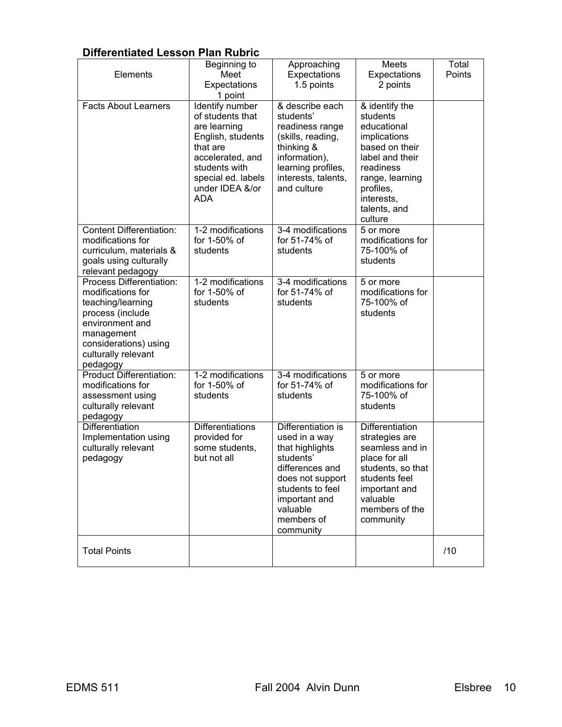## **Differentiated Lesson Plan Rubric**

| Elements<br><b>Facts About Learners</b>                                                                                                                                             | Beginning to<br>Meet<br>Expectations<br>1 point<br>Identify number                                                                                            | Approaching<br>Expectations<br>1.5 points<br>& describe each                                                                                                                           | Meets<br>Expectations<br>2 points                                                                                                                                                    | Total<br>Points |
|-------------------------------------------------------------------------------------------------------------------------------------------------------------------------------------|---------------------------------------------------------------------------------------------------------------------------------------------------------------|----------------------------------------------------------------------------------------------------------------------------------------------------------------------------------------|--------------------------------------------------------------------------------------------------------------------------------------------------------------------------------------|-----------------|
|                                                                                                                                                                                     | of students that<br>are learning<br>English, students<br>that are<br>accelerated, and<br>students with<br>special ed. labels<br>under IDEA &/or<br><b>ADA</b> | students'<br>readiness range<br>(skills, reading,<br>thinking &<br>information),<br>learning profiles,<br>interests, talents,<br>and culture                                           | & identify the<br>students<br>educational<br>implications<br>based on their<br>label and their<br>readiness<br>range, learning<br>profiles,<br>interests,<br>talents, and<br>culture |                 |
| <b>Content Differentiation:</b><br>modifications for<br>curriculum, materials &<br>goals using culturally<br>relevant pedagogy                                                      | 1-2 modifications<br>for 1-50% of<br>students                                                                                                                 | 3-4 modifications<br>for 51-74% of<br>students                                                                                                                                         | 5 or more<br>modifications for<br>75-100% of<br>students                                                                                                                             |                 |
| Process Differentiation:<br>modifications for<br>teaching/learning<br>process (include<br>environment and<br>management<br>considerations) using<br>culturally relevant<br>pedagogy | 1-2 modifications<br>for 1-50% of<br>students                                                                                                                 | 3-4 modifications<br>for 51-74% of<br>students                                                                                                                                         | 5 or more<br>modifications for<br>75-100% of<br>students                                                                                                                             |                 |
| <b>Product Differentiation:</b><br>modifications for<br>assessment using<br>culturally relevant<br>pedagogy                                                                         | 1-2 modifications<br>for 1-50% of<br>students                                                                                                                 | 3-4 modifications<br>for 51-74% of<br>students                                                                                                                                         | 5 or more<br>modifications for<br>75-100% of<br>students                                                                                                                             |                 |
| Differentiation<br>Implementation using<br>culturally relevant<br>pedagogy                                                                                                          | <b>Differentiations</b><br>provided for<br>some students,<br>but not all                                                                                      | Differentiation is<br>used in a way<br>that highlights<br>students'<br>differences and<br>does not support<br>students to feel<br>important and<br>valuable<br>members of<br>community | <b>Differentiation</b><br>strategies are<br>seamless and in<br>place for all<br>students, so that<br>students feel<br>important and<br>valuable<br>members of the<br>community       |                 |
| <b>Total Points</b>                                                                                                                                                                 |                                                                                                                                                               |                                                                                                                                                                                        |                                                                                                                                                                                      | /10             |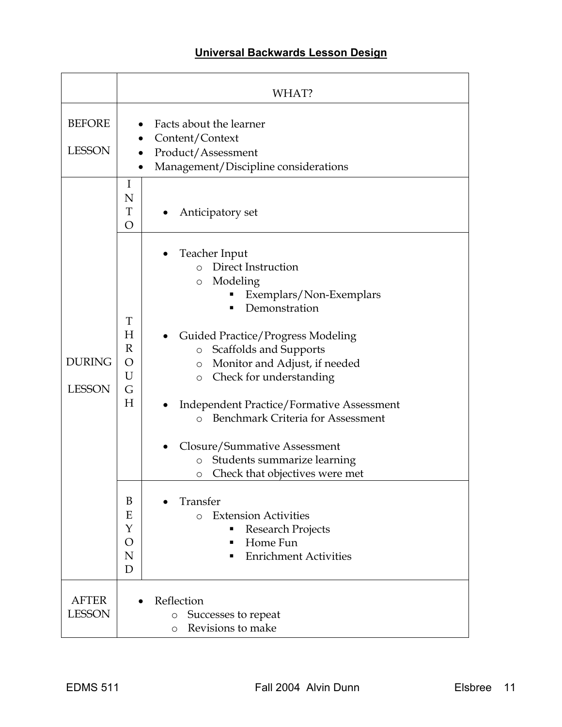## **Universal Backwards Lesson Design**

|                                | WHAT?                                                                                                                                                                                                                                                                                                                                                                                                                                                                                                                                                                                                                                                                                                        |  |  |
|--------------------------------|--------------------------------------------------------------------------------------------------------------------------------------------------------------------------------------------------------------------------------------------------------------------------------------------------------------------------------------------------------------------------------------------------------------------------------------------------------------------------------------------------------------------------------------------------------------------------------------------------------------------------------------------------------------------------------------------------------------|--|--|
| <b>BEFORE</b><br><b>LESSON</b> | Facts about the learner<br>Content/Context<br>Product/Assessment<br>Management/Discipline considerations<br>$\bullet$                                                                                                                                                                                                                                                                                                                                                                                                                                                                                                                                                                                        |  |  |
|                                | I<br>N<br>T<br>Anticipatory set<br>$\overline{O}$                                                                                                                                                                                                                                                                                                                                                                                                                                                                                                                                                                                                                                                            |  |  |
| <b>DURING</b><br><b>LESSON</b> | Teacher Input<br>o Direct Instruction<br>Modeling<br>$\circ$<br>Exemplars/Non-Exemplars<br>Demonstration<br>T<br>H<br><b>Guided Practice/Progress Modeling</b><br>$\mathbb{R}$<br>Scaffolds and Supports<br>$\circ$<br>O<br>Monitor and Adjust, if needed<br>$\circ$<br>U<br>Check for understanding<br>$\circ$<br>G<br>H<br><b>Independent Practice/Formative Assessment</b><br><b>Benchmark Criteria for Assessment</b><br>$\Omega$<br>Closure/Summative Assessment<br>Students summarize learning<br>$\circ$<br>Check that objectives were met<br>O<br>B<br>Transfer<br>Ε<br><b>Extension Activities</b><br>$\Omega$<br>Y<br>Research Projects<br>Home Fun<br>O<br><b>Enrichment Activities</b><br>N<br>D |  |  |
| <b>AFTER</b><br><b>LESSON</b>  | Reflection<br>Successes to repeat<br>$\circ$<br>Revisions to make<br>$\circ$                                                                                                                                                                                                                                                                                                                                                                                                                                                                                                                                                                                                                                 |  |  |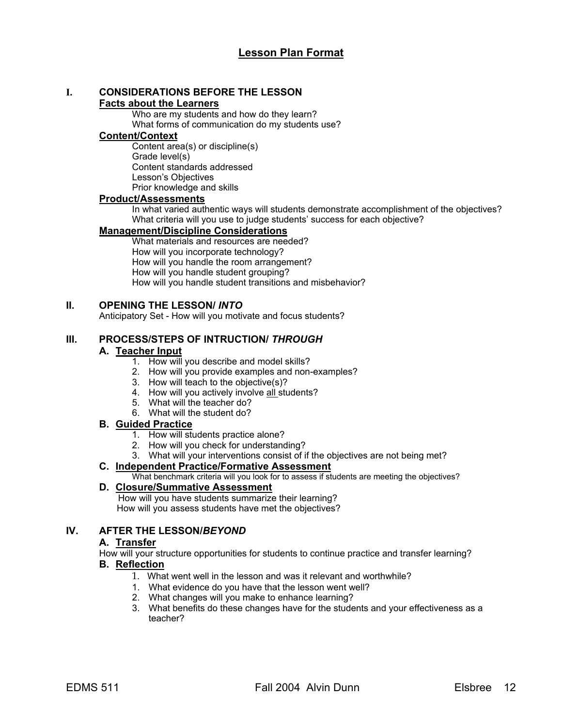# **I. CONSIDERATIONS BEFORE THE LESSON**

## **Facts about the Learners**

Who are my students and how do they learn? What forms of communication do my students use?

## **Content/Context**

Content area(s) or discipline(s) Grade level(s) Content standards addressed Lesson's Objectives Prior knowledge and skills

## **Product/Assessments**

In what varied authentic ways will students demonstrate accomplishment of the objectives? What criteria will you use to judge students' success for each objective?

## **Management/Discipline Considerations**

What materials and resources are needed? How will you incorporate technology? How will you handle the room arrangement? How will you handle student grouping? How will you handle student transitions and misbehavior?

## **II. OPENING THE LESSON/** *INTO*

Anticipatory Set - How will you motivate and focus students?

## **III. PROCESS/STEPS OF INTRUCTION/** *THROUGH*

## **A. Teacher Input**

- 1. How will you describe and model skills?
- 2. How will you provide examples and non-examples?
- 3. How will teach to the objective(s)?
- 4. How will you actively involve all students?
- 5. What will the teacher do?
- 6. What will the student do?

## **B. Guided Practice**

- 1. How will students practice alone?
- 2. How will you check for understanding?
- 3. What will your interventions consist of if the objectives are not being met?

## **C. Independent Practice/Formative Assessment**

What benchmark criteria will you look for to assess if students are meeting the objectives?

## **D. Closure/Summative Assessment**

 How will you have students summarize their learning? How will you assess students have met the objectives?

## **IV. AFTER THE LESSON/***BEYOND*

## **A. Transfer**

How will your structure opportunities for students to continue practice and transfer learning?

## **B. Reflection**

- 1. What went well in the lesson and was it relevant and worthwhile?
- 1. What evidence do you have that the lesson went well?
- 2. What changes will you make to enhance learning?
- 3. What benefits do these changes have for the students and your effectiveness as a teacher?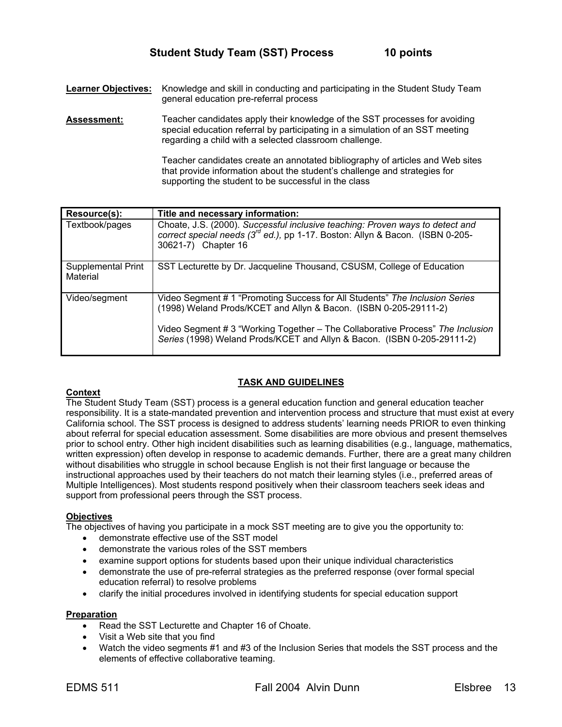**Learner Objectives:** Knowledge and skill in conducting and participating in the Student Study Team general education pre-referral process

**Assessment:** Teacher candidates apply their knowledge of the SST processes for avoiding special education referral by participating in a simulation of an SST meeting regarding a child with a selected classroom challenge.

> Teacher candidates create an annotated bibliography of articles and Web sites that provide information about the student's challenge and strategies for supporting the student to be successful in the class

| Resource(s):                   | Title and necessary information:                                                                                                                                                                                                                                                                             |
|--------------------------------|--------------------------------------------------------------------------------------------------------------------------------------------------------------------------------------------------------------------------------------------------------------------------------------------------------------|
| Textbook/pages                 | Choate, J.S. (2000). Successful inclusive teaching: Proven ways to detect and<br>correct special needs (3 <sup>rd</sup> ed.), pp 1-17. Boston: Allyn & Bacon. (ISBN 0-205-<br>30621-7) Chapter 16                                                                                                            |
| Supplemental Print<br>Material | SST Lecturette by Dr. Jacqueline Thousand, CSUSM, College of Education                                                                                                                                                                                                                                       |
| Video/segment                  | Video Segment # 1 "Promoting Success for All Students" The Inclusion Series<br>(1998) Weland Prods/KCET and Allyn & Bacon. (ISBN 0-205-29111-2)<br>Video Segment # 3 "Working Together - The Collaborative Process" The Inclusion<br>Series (1998) Weland Prods/KCET and Allyn & Bacon. (ISBN 0-205-29111-2) |

### **TASK AND GUIDELINES**

#### **Context**

The Student Study Team (SST) process is a general education function and general education teacher responsibility. It is a state-mandated prevention and intervention process and structure that must exist at every California school. The SST process is designed to address students' learning needs PRIOR to even thinking about referral for special education assessment. Some disabilities are more obvious and present themselves prior to school entry. Other high incident disabilities such as learning disabilities (e.g., language, mathematics, written expression) often develop in response to academic demands. Further, there are a great many children without disabilities who struggle in school because English is not their first language or because the instructional approaches used by their teachers do not match their learning styles (i.e., preferred areas of Multiple Intelligences). Most students respond positively when their classroom teachers seek ideas and support from professional peers through the SST process.

### **Objectives**

The objectives of having you participate in a mock SST meeting are to give you the opportunity to:

- demonstrate effective use of the SST model
- demonstrate the various roles of the SST members
- examine support options for students based upon their unique individual characteristics
- demonstrate the use of pre-referral strategies as the preferred response (over formal special education referral) to resolve problems
- clarify the initial procedures involved in identifying students for special education support

## **Preparation**

- Read the SST Lecturette and Chapter 16 of Choate.
- Visit a Web site that you find
- Watch the video segments #1 and #3 of the Inclusion Series that models the SST process and the elements of effective collaborative teaming.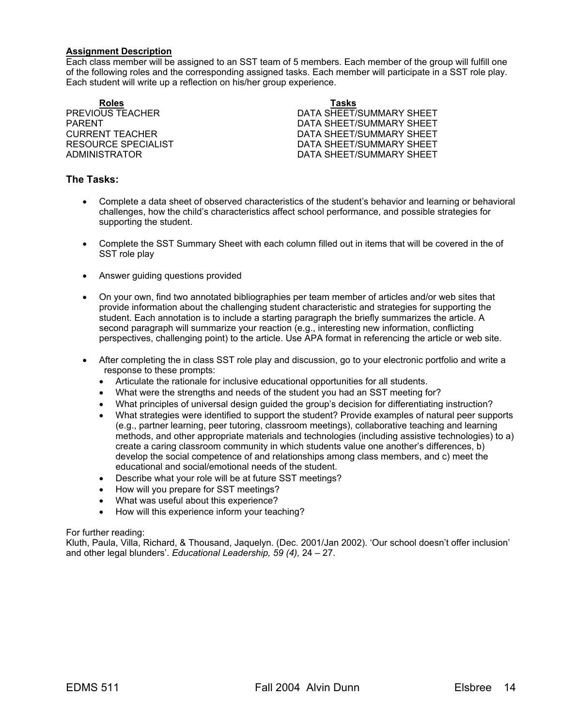#### **Assignment Description**

Each class member will be assigned to an SST team of 5 members. Each member of the group will fulfill one of the following roles and the corresponding assigned tasks. Each member will participate in a SST role play. Each student will write up a reflection on his/her group experience.

**Roles Tasks**

PREVIOUS TEACHER DATA SHEET/SUMMARY SHEET PARENT PARENT DATA SHEET/SUMMARY SHEET CURRENT TEACHER **DATA SHEET/SUMMARY SHEET** RESOURCE SPECIALIST **EXECUTE:** DATA SHEET/SUMMARY SHEET ADMINISTRATOR DATA SHEET/SUMMARY SHEET

## **The Tasks:**

- Complete a data sheet of observed characteristics of the student's behavior and learning or behavioral challenges, how the child's characteristics affect school performance, and possible strategies for supporting the student.
- Complete the SST Summary Sheet with each column filled out in items that will be covered in the of SST role play
- Answer guiding questions provided
- On your own, find two annotated bibliographies per team member of articles and/or web sites that provide information about the challenging student characteristic and strategies for supporting the student. Each annotation is to include a starting paragraph the briefly summarizes the article. A second paragraph will summarize your reaction (e.g., interesting new information, conflicting perspectives, challenging point) to the article. Use APA format in referencing the article or web site.
- After completing the in class SST role play and discussion, go to your electronic portfolio and write a response to these prompts:
	- Articulate the rationale for inclusive educational opportunities for all students.
	- What were the strengths and needs of the student you had an SST meeting for?
	- What principles of universal design guided the group's decision for differentiating instruction?
	- What strategies were identified to support the student? Provide examples of natural peer supports (e.g., partner learning, peer tutoring, classroom meetings), collaborative teaching and learning methods, and other appropriate materials and technologies (including assistive technologies) to a) create a caring classroom community in which students value one another's differences, b) develop the social competence of and relationships among class members, and c) meet the educational and social/emotional needs of the student.
	- Describe what your role will be at future SST meetings?
	- How will you prepare for SST meetings?
	- What was useful about this experience?
	- How will this experience inform your teaching?

#### For further reading:

Kluth, Paula, Villa, Richard, & Thousand, Jaquelyn. (Dec. 2001/Jan 2002). 'Our school doesn't offer inclusion' and other legal blunders'. *Educational Leadership, 59 (4),* 24 – 27.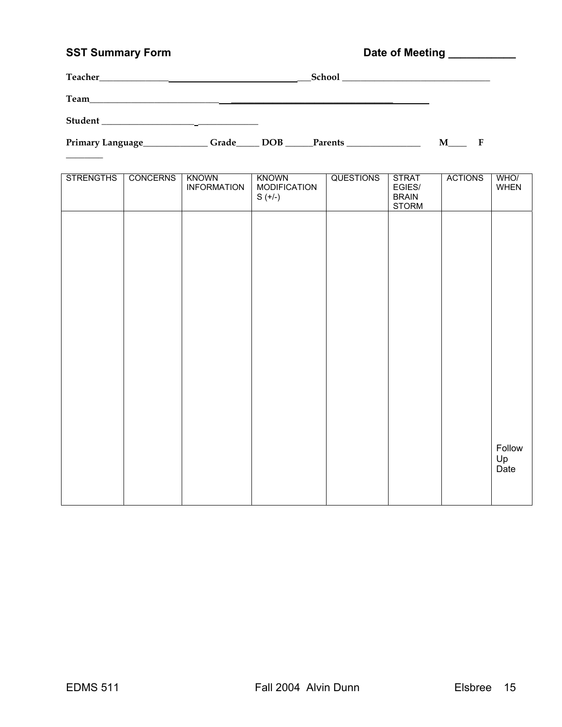## SST Summary Form **Date of Meeting Limits Community** Date of Meeting Limits 2007

| Teacher_ | School |
|----------|--------|
| Team     |        |
| Student  |        |

 $\overline{\phantom{a}}$ 

Primary Language\_\_\_\_\_\_\_\_\_\_\_\_\_Grade\_\_\_\_\_ DOB \_\_\_\_\_Parents \_\_\_\_\_\_\_\_\_\_\_\_\_\_\_\_\_\_\_\_\_\_ M\_\_\_\_\_ F

| <b>STRENGTHS</b> | <b>CONCERNS</b> | <b>KNOWN</b><br><b>INFORMATION</b> | <b>KNOWN</b><br><b>MODIFICATION</b><br>$S (+/-)$ | <b>QUESTIONS</b> | <b>STRAT</b><br>EGIES/<br><b>BRAIN</b><br><b>STORM</b> | <b>ACTIONS</b> | WHO/<br>WHEN         |
|------------------|-----------------|------------------------------------|--------------------------------------------------|------------------|--------------------------------------------------------|----------------|----------------------|
|                  |                 |                                    |                                                  |                  |                                                        |                |                      |
|                  |                 |                                    |                                                  |                  |                                                        |                |                      |
|                  |                 |                                    |                                                  |                  |                                                        |                |                      |
|                  |                 |                                    |                                                  |                  |                                                        |                |                      |
|                  |                 |                                    |                                                  |                  |                                                        |                |                      |
|                  |                 |                                    |                                                  |                  |                                                        |                |                      |
|                  |                 |                                    |                                                  |                  |                                                        |                | Follow<br>Up<br>Date |
|                  |                 |                                    |                                                  |                  |                                                        |                |                      |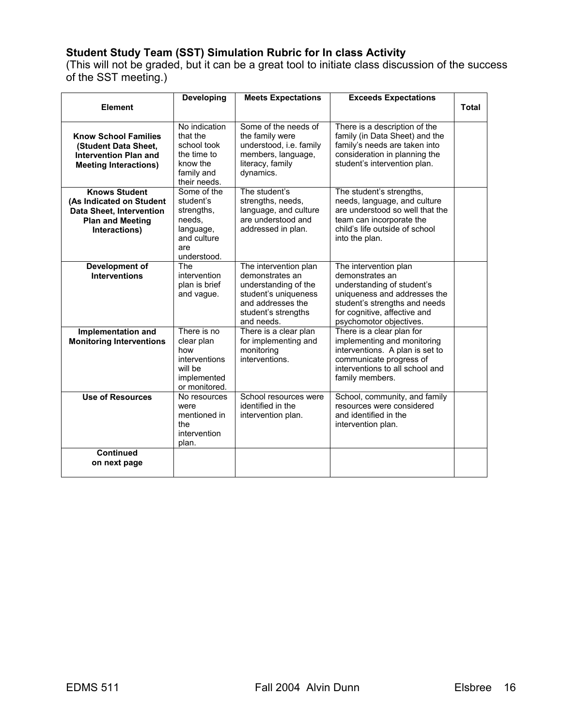## **Student Study Team (SST) Simulation Rubric for In class Activity**

(This will not be graded, but it can be a great tool to initiate class discussion of the success of the SST meeting.)

|                                                                                                                                 | <b>Developing</b>                                                                                  | <b>Meets Expectations</b>                                                                                                                          | <b>Exceeds Expectations</b>                                                                                                                                                                        |       |
|---------------------------------------------------------------------------------------------------------------------------------|----------------------------------------------------------------------------------------------------|----------------------------------------------------------------------------------------------------------------------------------------------------|----------------------------------------------------------------------------------------------------------------------------------------------------------------------------------------------------|-------|
| <b>Element</b>                                                                                                                  |                                                                                                    |                                                                                                                                                    |                                                                                                                                                                                                    | Total |
| <b>Know School Families</b><br>(Student Data Sheet,<br><b>Intervention Plan and</b><br><b>Meeting Interactions)</b>             | No indication<br>that the<br>school took<br>the time to<br>know the<br>family and<br>their needs.  | Some of the needs of<br>the family were<br>understood, i.e. family<br>members, language,<br>literacy, family<br>dynamics.                          | There is a description of the<br>family (in Data Sheet) and the<br>family's needs are taken into<br>consideration in planning the<br>student's intervention plan.                                  |       |
| <b>Knows Student</b><br>(As Indicated on Student<br><b>Data Sheet, Intervention</b><br><b>Plan and Meeting</b><br>Interactions) | Some of the<br>student's<br>strengths,<br>needs,<br>language,<br>and culture<br>are<br>understood. | The student's<br>strengths, needs,<br>language, and culture<br>are understood and<br>addressed in plan.                                            | The student's strengths,<br>needs, language, and culture<br>are understood so well that the<br>team can incorporate the<br>child's life outside of school<br>into the plan.                        |       |
| <b>Development of</b><br><b>Interventions</b>                                                                                   | The<br>intervention<br>plan is brief<br>and vague.                                                 | The intervention plan<br>demonstrates an<br>understanding of the<br>student's uniqueness<br>and addresses the<br>student's strengths<br>and needs. | The intervention plan<br>demonstrates an<br>understanding of student's<br>uniqueness and addresses the<br>student's strengths and needs<br>for cognitive, affective and<br>psychomotor objectives. |       |
| Implementation and<br><b>Monitoring Interventions</b>                                                                           | There is no<br>clear plan<br>how<br>interventions<br>will be<br>implemented<br>or monitored.       | There is a clear plan<br>for implementing and<br>monitoring<br>interventions.                                                                      | There is a clear plan for<br>implementing and monitoring<br>interventions. A plan is set to<br>communicate progress of<br>interventions to all school and<br>family members.                       |       |
| <b>Use of Resources</b>                                                                                                         | No resources<br>were<br>mentioned in<br>the<br>intervention<br>plan.                               | School resources were<br>identified in the<br>intervention plan.                                                                                   | School, community, and family<br>resources were considered<br>and identified in the<br>intervention plan.                                                                                          |       |
| <b>Continued</b><br>on next page                                                                                                |                                                                                                    |                                                                                                                                                    |                                                                                                                                                                                                    |       |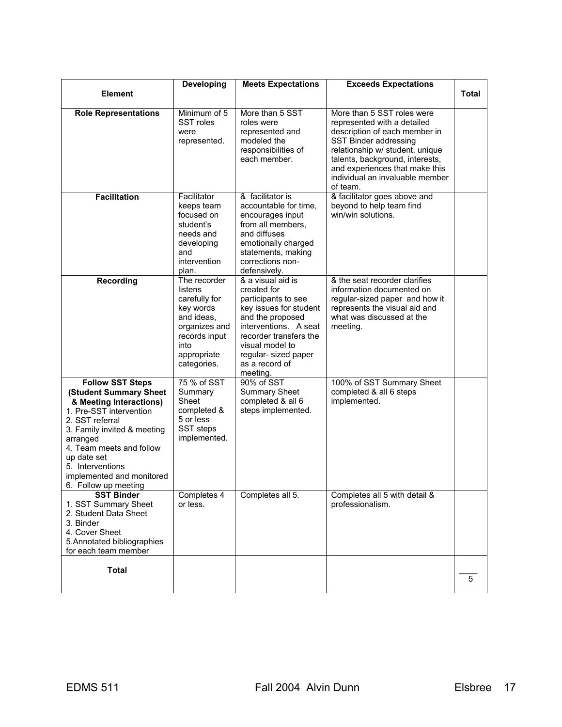|                                                                                                                                                                                                                                                                                           | Developing                                                                                                                                  | <b>Meets Expectations</b>                                                                                                                                                                                                         | <b>Exceeds Expectations</b>                                                                                                                                                                                                                                                |              |
|-------------------------------------------------------------------------------------------------------------------------------------------------------------------------------------------------------------------------------------------------------------------------------------------|---------------------------------------------------------------------------------------------------------------------------------------------|-----------------------------------------------------------------------------------------------------------------------------------------------------------------------------------------------------------------------------------|----------------------------------------------------------------------------------------------------------------------------------------------------------------------------------------------------------------------------------------------------------------------------|--------------|
| <b>Element</b>                                                                                                                                                                                                                                                                            |                                                                                                                                             |                                                                                                                                                                                                                                   |                                                                                                                                                                                                                                                                            | <b>Total</b> |
| <b>Role Representations</b>                                                                                                                                                                                                                                                               | Minimum of 5<br>SST roles<br>were<br>represented.                                                                                           | More than 5 SST<br>roles were<br>represented and<br>modeled the<br>responsibilities of<br>each member.                                                                                                                            | More than 5 SST roles were<br>represented with a detailed<br>description of each member in<br>SST Binder addressing<br>relationship w/ student, unique<br>talents, background, interests,<br>and experiences that make this<br>individual an invaluable member<br>of team. |              |
| <b>Facilitation</b>                                                                                                                                                                                                                                                                       | Facilitator<br>keeps team<br>focused on<br>student's<br>needs and<br>developing<br>and<br>intervention<br>plan.                             | & facilitator is<br>accountable for time,<br>encourages input<br>from all members,<br>and diffuses<br>emotionally charged<br>statements, making<br>corrections non-<br>defensively.                                               | & facilitator goes above and<br>beyond to help team find<br>win/win solutions.                                                                                                                                                                                             |              |
| <b>Recording</b>                                                                                                                                                                                                                                                                          | The recorder<br>listens<br>carefully for<br>key words<br>and ideas.<br>organizes and<br>records input<br>into<br>appropriate<br>categories. | & a visual aid is<br>created for<br>participants to see<br>key issues for student<br>and the proposed<br>interventions. A seat<br>recorder transfers the<br>visual model to<br>regular- sized paper<br>as a record of<br>meeting. | & the seat recorder clarifies<br>information documented on<br>regular-sized paper and how it<br>represents the visual aid and<br>what was discussed at the<br>meeting.                                                                                                     |              |
| <b>Follow SST Steps</b><br>(Student Summary Sheet<br>& Meeting Interactions)<br>1. Pre-SST intervention<br>2. SST referral<br>3. Family invited & meeting<br>arranged<br>4. Team meets and follow<br>up date set<br>5. Interventions<br>implemented and monitored<br>6. Follow up meeting | 75 % of SST<br>Summary<br>Sheet<br>completed &<br>5 or less<br>SST steps<br>implemented.                                                    | 90% of SST<br><b>Summary Sheet</b><br>completed & all 6<br>steps implemented.                                                                                                                                                     | 100% of SST Summary Sheet<br>completed & all 6 steps<br>implemented.                                                                                                                                                                                                       |              |
| <b>SST Binder</b><br>1. SST Summary Sheet<br>2. Student Data Sheet<br>3. Binder<br>4. Cover Sheet<br>5. Annotated bibliographies<br>for each team member                                                                                                                                  | Completes 4<br>or less.                                                                                                                     | Completes all 5.                                                                                                                                                                                                                  | Completes all 5 with detail &<br>professionalism.                                                                                                                                                                                                                          |              |
| <b>Total</b>                                                                                                                                                                                                                                                                              |                                                                                                                                             |                                                                                                                                                                                                                                   |                                                                                                                                                                                                                                                                            | 5            |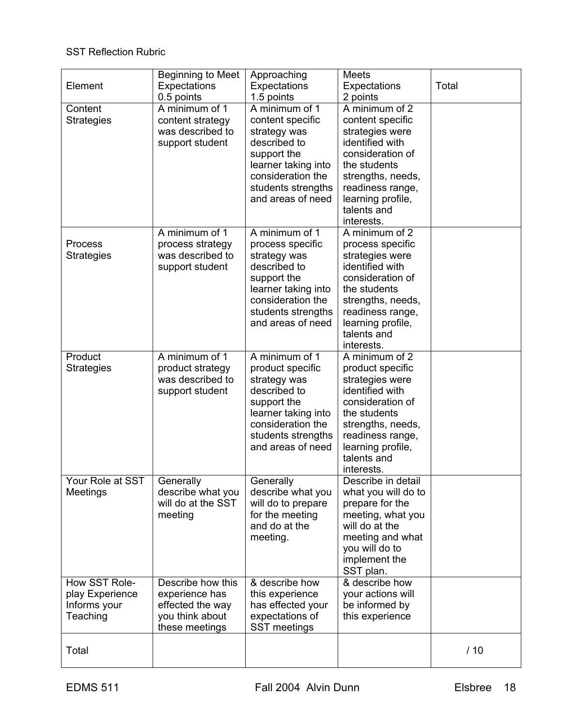## SST Reflection Rubric

| Element                                                      | <b>Beginning to Meet</b><br>Expectations<br>0.5 points                                       | Approaching<br>Expectations<br>1.5 points                                                                                                                                | <b>Meets</b><br>Expectations<br>2 points                                                                                                                                                                | Total |
|--------------------------------------------------------------|----------------------------------------------------------------------------------------------|--------------------------------------------------------------------------------------------------------------------------------------------------------------------------|---------------------------------------------------------------------------------------------------------------------------------------------------------------------------------------------------------|-------|
| Content<br><b>Strategies</b>                                 | A minimum of 1<br>content strategy<br>was described to<br>support student                    | A minimum of 1<br>content specific<br>strategy was<br>described to<br>support the<br>learner taking into<br>consideration the<br>students strengths<br>and areas of need | A minimum of 2<br>content specific<br>strategies were<br>identified with<br>consideration of<br>the students<br>strengths, needs,<br>readiness range,<br>learning profile,<br>talents and<br>interests. |       |
| Process<br><b>Strategies</b>                                 | A minimum of 1<br>process strategy<br>was described to<br>support student                    | A minimum of 1<br>process specific<br>strategy was<br>described to<br>support the<br>learner taking into<br>consideration the<br>students strengths<br>and areas of need | A minimum of 2<br>process specific<br>strategies were<br>identified with<br>consideration of<br>the students<br>strengths, needs,<br>readiness range,<br>learning profile,<br>talents and<br>interests. |       |
| Product<br><b>Strategies</b>                                 | A minimum of 1<br>product strategy<br>was described to<br>support student                    | A minimum of 1<br>product specific<br>strategy was<br>described to<br>support the<br>learner taking into<br>consideration the<br>students strengths<br>and areas of need | A minimum of 2<br>product specific<br>strategies were<br>identified with<br>consideration of<br>the students<br>strengths, needs,<br>readiness range,<br>learning profile,<br>talents and<br>interests. |       |
| Your Role at SST<br>Meetings                                 | Generally<br>describe what you<br>will do at the SST<br>meeting                              | Generally<br>describe what you<br>will do to prepare<br>for the meeting<br>and do at the<br>meeting.                                                                     | Describe in detail<br>what you will do to<br>prepare for the<br>meeting, what you<br>will do at the<br>meeting and what<br>you will do to<br>implement the<br>SST plan.                                 |       |
| How SST Role-<br>play Experience<br>Informs your<br>Teaching | Describe how this<br>experience has<br>effected the way<br>you think about<br>these meetings | & describe how<br>this experience<br>has effected your<br>expectations of<br><b>SST</b> meetings                                                                         | & describe how<br>your actions will<br>be informed by<br>this experience                                                                                                                                |       |
| Total                                                        |                                                                                              |                                                                                                                                                                          |                                                                                                                                                                                                         | /10   |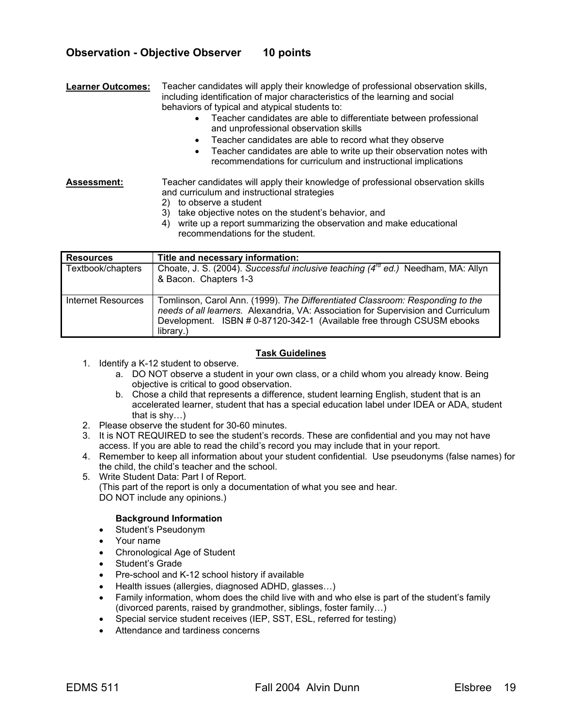## **Observation - Objective Observer 10 points**

**Learner Outcomes:** Teacher candidates will apply their knowledge of professional observation skills, including identification of major characteristics of the learning and social behaviors of typical and atypical students to:

- Teacher candidates are able to differentiate between professional and unprofessional observation skills
- Teacher candidates are able to record what they observe
- Teacher candidates are able to write up their observation notes with recommendations for curriculum and instructional implications

**Assessment:** Teacher candidates will apply their knowledge of professional observation skills and curriculum and instructional strategies

- 2) to observe a student
- 3) take objective notes on the student's behavior, and
- 4) write up a report summarizing the observation and make educational recommendations for the student.

| <b>Resources</b>   | Title and necessary information:                                                                                                                                                                                                                          |
|--------------------|-----------------------------------------------------------------------------------------------------------------------------------------------------------------------------------------------------------------------------------------------------------|
| Textbook/chapters  | Choate, J. S. (2004). Successful inclusive teaching (4 <sup>rd</sup> ed.) Needham, MA: Allyn<br>& Bacon. Chapters 1-3                                                                                                                                     |
| Internet Resources | Tomlinson, Carol Ann. (1999). The Differentiated Classroom: Responding to the<br>needs of all learners. Alexandria, VA: Association for Supervision and Curriculum<br>Development. ISBN # 0-87120-342-1 (Available free through CSUSM ebooks<br>library.) |

#### **Task Guidelines**

- 1. Identify a K-12 student to observe.
	- a. DO NOT observe a student in your own class, or a child whom you already know. Being objective is critical to good observation.
	- b. Chose a child that represents a difference, student learning English, student that is an accelerated learner, student that has a special education label under IDEA or ADA, student that is shy…)
- 2. Please observe the student for 30-60 minutes.
- 3. It is NOT REQUIRED to see the student's records. These are confidential and you may not have access. If you are able to read the child's record you may include that in your report.
- 4. Remember to keep all information about your student confidential. Use pseudonyms (false names) for the child, the child's teacher and the school.
- 5. Write Student Data: Part I of Report.
	- (This part of the report is only a documentation of what you see and hear. DO NOT include any opinions.)

### **Background Information**

- Student's Pseudonym
- Your name
- Chronological Age of Student
- Student's Grade
- Pre-school and K-12 school history if available
- Health issues (allergies, diagnosed ADHD, glasses…)
- Family information, whom does the child live with and who else is part of the student's family (divorced parents, raised by grandmother, siblings, foster family…)
- Special service student receives (IEP, SST, ESL, referred for testing)
- Attendance and tardiness concerns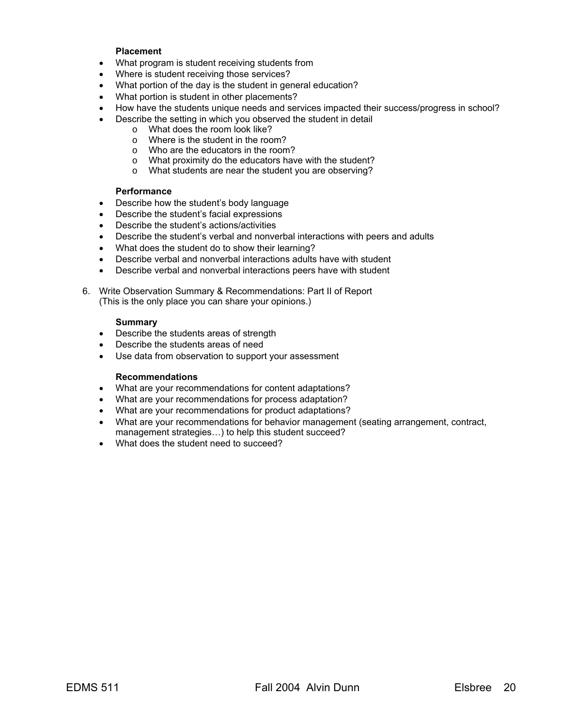#### **Placement**

- What program is student receiving students from
- Where is student receiving those services?
- What portion of the day is the student in general education?
- What portion is student in other placements?
- How have the students unique needs and services impacted their success/progress in school?
- Describe the setting in which you observed the student in detail
	- o What does the room look like?<br>
	o Where is the student in the roo
	- Where is the student in the room?
	- o Who are the educators in the room?
	- o What proximity do the educators have with the student?
	- o What students are near the student you are observing?

#### **Performance**

- Describe how the student's body language
- Describe the student's facial expressions
- Describe the student's actions/activities
- Describe the student's verbal and nonverbal interactions with peers and adults
- What does the student do to show their learning?
- Describe verbal and nonverbal interactions adults have with student
- Describe verbal and nonverbal interactions peers have with student

6. Write Observation Summary & Recommendations: Part II of Report (This is the only place you can share your opinions.)

#### **Summary**

- Describe the students areas of strength
- Describe the students areas of need
- Use data from observation to support your assessment

#### **Recommendations**

- What are your recommendations for content adaptations?
- What are your recommendations for process adaptation?
- What are your recommendations for product adaptations?
- What are your recommendations for behavior management (seating arrangement, contract, management strategies…) to help this student succeed?
- What does the student need to succeed?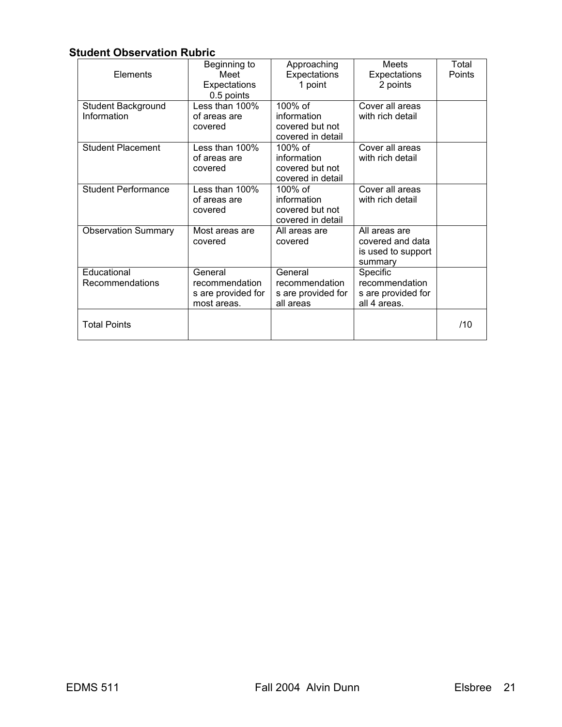## **Student Observation Rubric**

| Elements                          | Beginning to<br>Meet<br>Expectations<br>0.5 points             | Approaching<br>Expectations<br>1 point                            | Meets<br>Expectations<br>2 points                                  | Total<br>Points |
|-----------------------------------|----------------------------------------------------------------|-------------------------------------------------------------------|--------------------------------------------------------------------|-----------------|
| Student Background<br>Information | Less than 100%<br>of areas are<br>covered                      | 100% of<br>information<br>covered but not<br>covered in detail    | Cover all areas<br>with rich detail                                |                 |
| <b>Student Placement</b>          | Less than 100%<br>of areas are<br>covered                      | 100% of<br>information<br>covered but not<br>covered in detail    | Cover all areas<br>with rich detail                                |                 |
| <b>Student Performance</b>        | Less than 100%<br>of areas are<br>covered                      | $100\%$ of<br>information<br>covered but not<br>covered in detail | Cover all areas<br>with rich detail                                |                 |
| <b>Observation Summary</b>        | Most areas are<br>covered                                      | All areas are<br>covered                                          | All areas are<br>covered and data<br>is used to support<br>summary |                 |
| Educational<br>Recommendations    | General<br>recommendation<br>s are provided for<br>most areas. | General<br>recommendation<br>s are provided for<br>all areas      | Specific<br>recommendation<br>s are provided for<br>all 4 areas.   |                 |
| <b>Total Points</b>               |                                                                |                                                                   |                                                                    | /10             |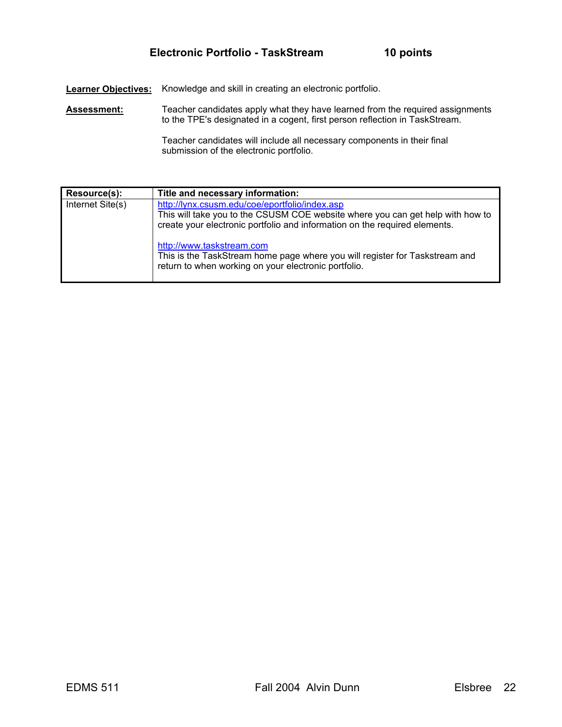**Learner Objectives:** Knowledge and skill in creating an electronic portfolio.

Assessment: Teacher candidates apply what they have learned from the required assignments to the TPE's designated in a cogent, first person reflection in TaskStream.

> Teacher candidates will include all necessary components in their final submission of the electronic portfolio.

| Resource(s):     | Title and necessary information:                                                                                                                                                                               |
|------------------|----------------------------------------------------------------------------------------------------------------------------------------------------------------------------------------------------------------|
| Internet Site(s) | http://lynx.csusm.edu/coe/eportfolio/index.asp<br>This will take you to the CSUSM COE website where you can get help with how to<br>create your electronic portfolio and information on the required elements. |
|                  | http://www.taskstream.com<br>This is the TaskStream home page where you will register for Taskstream and<br>return to when working on your electronic portfolio.                                               |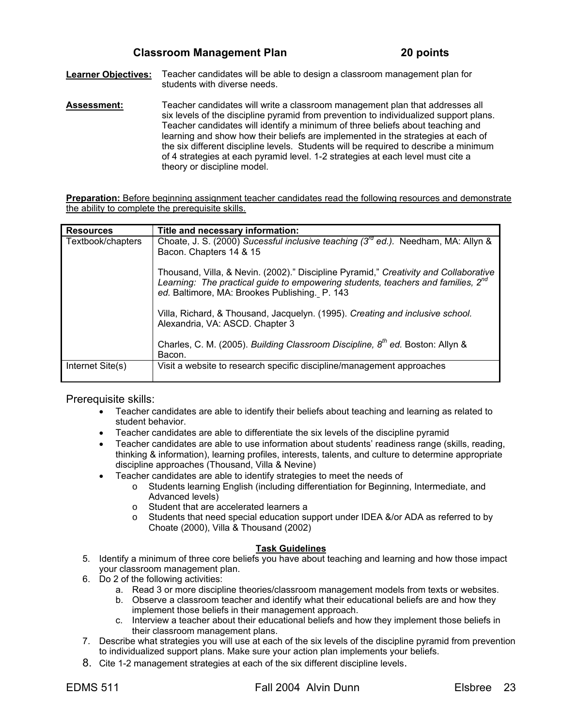**Learner Objectives:** Teacher candidates will be able to design a classroom management plan for students with diverse needs.

**Assessment:** Teacher candidates will write a classroom management plan that addresses all six levels of the discipline pyramid from prevention to individualized support plans. Teacher candidates will identify a minimum of three beliefs about teaching and learning and show how their beliefs are implemented in the strategies at each of the six different discipline levels. Students will be required to describe a minimum of 4 strategies at each pyramid level. 1-2 strategies at each level must cite a theory or discipline model.

**Preparation:** Before beginning assignment teacher candidates read the following resources and demonstrate the ability to complete the prerequisite skills.

| <b>Resources</b>  | Title and necessary information:                                                                                                                                                                                                      |
|-------------------|---------------------------------------------------------------------------------------------------------------------------------------------------------------------------------------------------------------------------------------|
| Textbook/chapters | Choate, J. S. (2000) Sucessful inclusive teaching ( $3^{rd}$ ed.). Needham, MA: Allyn &<br>Bacon. Chapters 14 & 15                                                                                                                    |
|                   | Thousand, Villa, & Nevin. (2002)." Discipline Pyramid," Creativity and Collaborative<br>Learning: The practical guide to empowering students, teachers and families, 2 <sup>nd</sup><br>ed. Baltimore, MA: Brookes Publishing. P. 143 |
|                   | Villa, Richard, & Thousand, Jacquelyn. (1995). Creating and inclusive school.<br>Alexandria, VA: ASCD. Chapter 3                                                                                                                      |
|                   | Charles, C. M. (2005). Building Classroom Discipline, 8 <sup>th</sup> ed. Boston: Allyn &<br>Bacon.                                                                                                                                   |
| Internet Site(s)  | Visit a website to research specific discipline/management approaches                                                                                                                                                                 |

Prerequisite skills:

- Teacher candidates are able to identify their beliefs about teaching and learning as related to student behavior.
- Teacher candidates are able to differentiate the six levels of the discipline pyramid
- Teacher candidates are able to use information about students' readiness range (skills, reading, thinking & information), learning profiles, interests, talents, and culture to determine appropriate discipline approaches (Thousand, Villa & Nevine)
- Teacher candidates are able to identify strategies to meet the needs of
	- o Students learning English (including differentiation for Beginning, Intermediate, and Advanced levels)
	- o Student that are accelerated learners a<br>
	o Students that need special education su
	- Students that need special education support under IDEA &/or ADA as referred to by Choate (2000), Villa & Thousand (2002)

### **Task Guidelines**

- 5. Identify a minimum of three core beliefs you have about teaching and learning and how those impact your classroom management plan.
- 6. Do 2 of the following activities:
	- a. Read 3 or more discipline theories/classroom management models from texts or websites.
	- b. Observe a classroom teacher and identify what their educational beliefs are and how they implement those beliefs in their management approach.
	- c. Interview a teacher about their educational beliefs and how they implement those beliefs in their classroom management plans.
- 7. Describe what strategies you will use at each of the six levels of the discipline pyramid from prevention to individualized support plans. Make sure your action plan implements your beliefs.
- 8. Cite 1-2 management strategies at each of the six different discipline levels.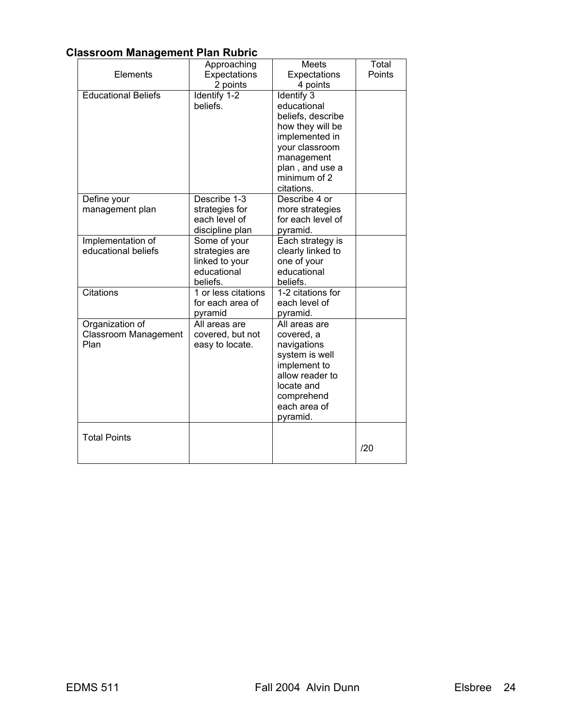## **Classroom Management Plan Rubric**

|                             | Approaching         | Meets             | Total  |
|-----------------------------|---------------------|-------------------|--------|
| Elements                    | Expectations        | Expectations      | Points |
|                             | 2 points            | 4 points          |        |
| <b>Educational Beliefs</b>  | Identify 1-2        | Identify 3        |        |
|                             | beliefs.            | educational       |        |
|                             |                     | beliefs, describe |        |
|                             |                     | how they will be  |        |
|                             |                     | implemented in    |        |
|                             |                     | your classroom    |        |
|                             |                     | management        |        |
|                             |                     | plan, and use a   |        |
|                             |                     | minimum of 2      |        |
|                             |                     | citations.        |        |
| Define your                 | Describe $1-3$      | Describe 4 or     |        |
| management plan             | strategies for      | more strategies   |        |
|                             | each level of       | for each level of |        |
|                             | discipline plan     | pyramid.          |        |
| Implementation of           | Some of your        | Each strategy is  |        |
| educational beliefs         | strategies are      | clearly linked to |        |
|                             | linked to your      | one of your       |        |
|                             | educational         | educational       |        |
|                             | beliefs.            | beliefs.          |        |
| Citations                   | 1 or less citations | 1-2 citations for |        |
|                             | for each area of    | each level of     |        |
|                             | pyramid             | pyramid.          |        |
| Organization of             | All areas are       | All areas are     |        |
| <b>Classroom Management</b> | covered, but not    | covered, a        |        |
| Plan                        | easy to locate.     | navigations       |        |
|                             |                     | system is well    |        |
|                             |                     | implement to      |        |
|                             |                     | allow reader to   |        |
|                             |                     | locate and        |        |
|                             |                     | comprehend        |        |
|                             |                     | each area of      |        |
|                             |                     | pyramid.          |        |
|                             |                     |                   |        |
| <b>Total Points</b>         |                     |                   | /20    |
|                             |                     |                   |        |
|                             |                     |                   |        |